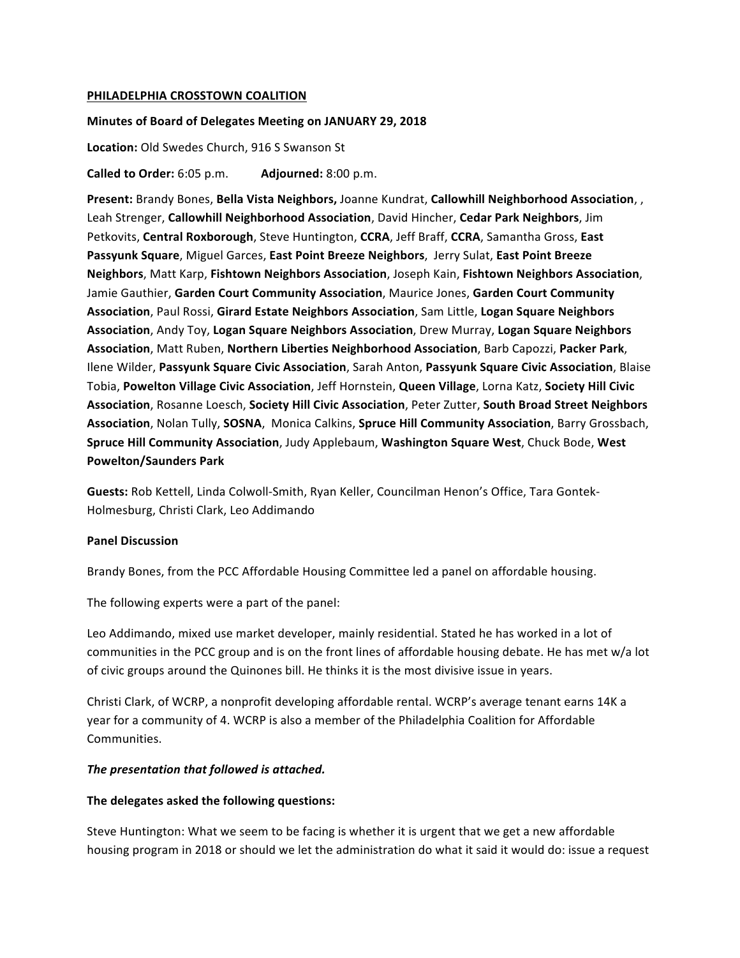#### **PHILADELPHIA CROSSTOWN COALITION**

#### Minutes of Board of Delegates Meeting on JANUARY 29, 2018

Location: Old Swedes Church, 916 S Swanson St

**Called to Order:** 6:05 p.m. **Adjourned:** 8:00 p.m.

**Present:** Brandy Bones, **Bella Vista Neighbors,** Joanne Kundrat, **Callowhill Neighborhood Association**, , Leah Strenger, **Callowhill Neighborhood Association**, David Hincher, **Cedar Park Neighbors**, Jim Petkovits, Central Roxborough, Steve Huntington, CCRA, Jeff Braff, CCRA, Samantha Gross, East Passyunk Square, Miguel Garces, East Point Breeze Neighbors, Jerry Sulat, East Point Breeze **Neighbors**, Matt Karp, Fishtown Neighbors Association, Joseph Kain, Fishtown Neighbors Association, Jamie Gauthier, Garden Court Community Association, Maurice Jones, Garden Court Community Association, Paul Rossi, Girard Estate Neighbors Association, Sam Little, Logan Square Neighbors Association, Andy Toy, Logan Square Neighbors Association, Drew Murray, Logan Square Neighbors **Association**, Matt Ruben, **Northern Liberties Neighborhood Association**, Barb Capozzi, **Packer Park**, Ilene Wilder, **Passyunk Square Civic Association**, Sarah Anton, **Passyunk Square Civic Association**, Blaise Tobia, Powelton Village Civic Association, Jeff Hornstein, Queen Village, Lorna Katz, Society Hill Civic Association, Rosanne Loesch, Society Hill Civic Association, Peter Zutter, South Broad Street Neighbors Association, Nolan Tully, SOSNA, Monica Calkins, Spruce Hill Community Association, Barry Grossbach, **Spruce Hill Community Association**, Judy Applebaum, Washington Square West, Chuck Bode, West **Powelton/Saunders Park**

Guests: Rob Kettell, Linda Colwoll-Smith, Ryan Keller, Councilman Henon's Office, Tara Gontek-Holmesburg, Christi Clark, Leo Addimando

### **Panel Discussion**

Brandy Bones, from the PCC Affordable Housing Committee led a panel on affordable housing.

The following experts were a part of the panel:

Leo Addimando, mixed use market developer, mainly residential. Stated he has worked in a lot of communities in the PCC group and is on the front lines of affordable housing debate. He has met w/a lot of civic groups around the Quinones bill. He thinks it is the most divisive issue in years.

Christi Clark, of WCRP, a nonprofit developing affordable rental. WCRP's average tenant earns 14K a year for a community of 4. WCRP is also a member of the Philadelphia Coalition for Affordable Communities. 

### The presentation that followed is attached.

#### The delegates asked the following questions:

Steve Huntington: What we seem to be facing is whether it is urgent that we get a new affordable housing program in 2018 or should we let the administration do what it said it would do: issue a request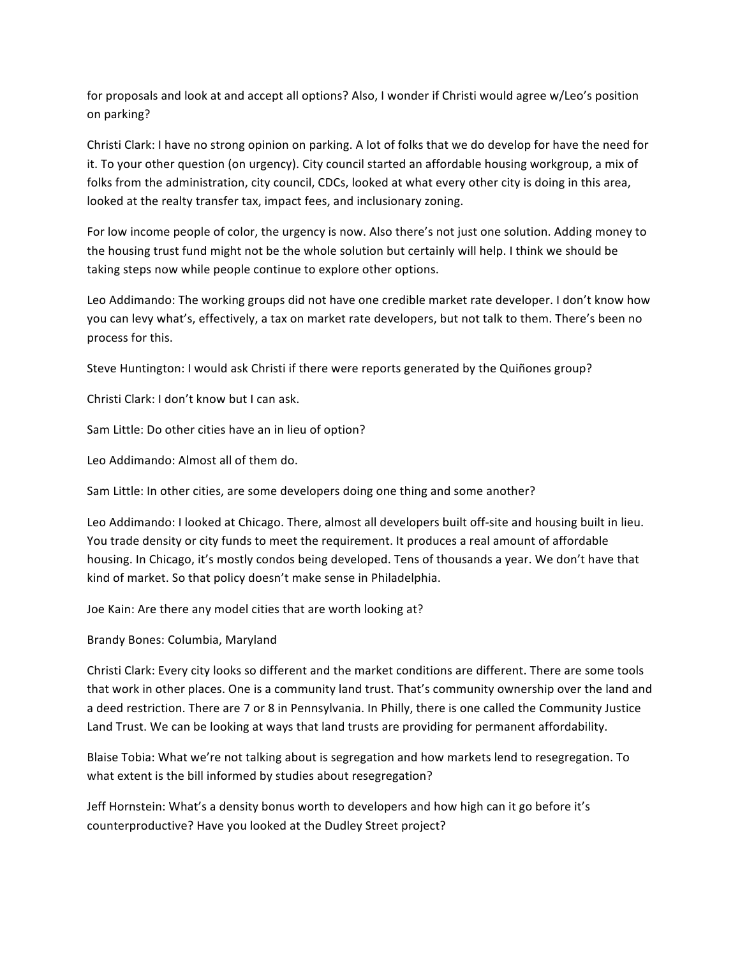for proposals and look at and accept all options? Also, I wonder if Christi would agree w/Leo's position on parking?

Christi Clark: I have no strong opinion on parking. A lot of folks that we do develop for have the need for it. To your other question (on urgency). City council started an affordable housing workgroup, a mix of folks from the administration, city council, CDCs, looked at what every other city is doing in this area, looked at the realty transfer tax, impact fees, and inclusionary zoning.

For low income people of color, the urgency is now. Also there's not just one solution. Adding money to the housing trust fund might not be the whole solution but certainly will help. I think we should be taking steps now while people continue to explore other options.

Leo Addimando: The working groups did not have one credible market rate developer. I don't know how you can levy what's, effectively, a tax on market rate developers, but not talk to them. There's been no process for this.

Steve Huntington: I would ask Christi if there were reports generated by the Quiñones group?

Christi Clark: I don't know but I can ask.

Sam Little: Do other cities have an in lieu of option?

Leo Addimando: Almost all of them do.

Sam Little: In other cities, are some developers doing one thing and some another?

Leo Addimando: I looked at Chicago. There, almost all developers built off-site and housing built in lieu. You trade density or city funds to meet the requirement. It produces a real amount of affordable housing. In Chicago, it's mostly condos being developed. Tens of thousands a year. We don't have that kind of market. So that policy doesn't make sense in Philadelphia.

Joe Kain: Are there any model cities that are worth looking at?

Brandy Bones: Columbia, Maryland

Christi Clark: Every city looks so different and the market conditions are different. There are some tools that work in other places. One is a community land trust. That's community ownership over the land and a deed restriction. There are 7 or 8 in Pennsylvania. In Philly, there is one called the Community Justice Land Trust. We can be looking at ways that land trusts are providing for permanent affordability.

Blaise Tobia: What we're not talking about is segregation and how markets lend to resegregation. To what extent is the bill informed by studies about resegregation?

Jeff Hornstein: What's a density bonus worth to developers and how high can it go before it's counterproductive? Have you looked at the Dudley Street project?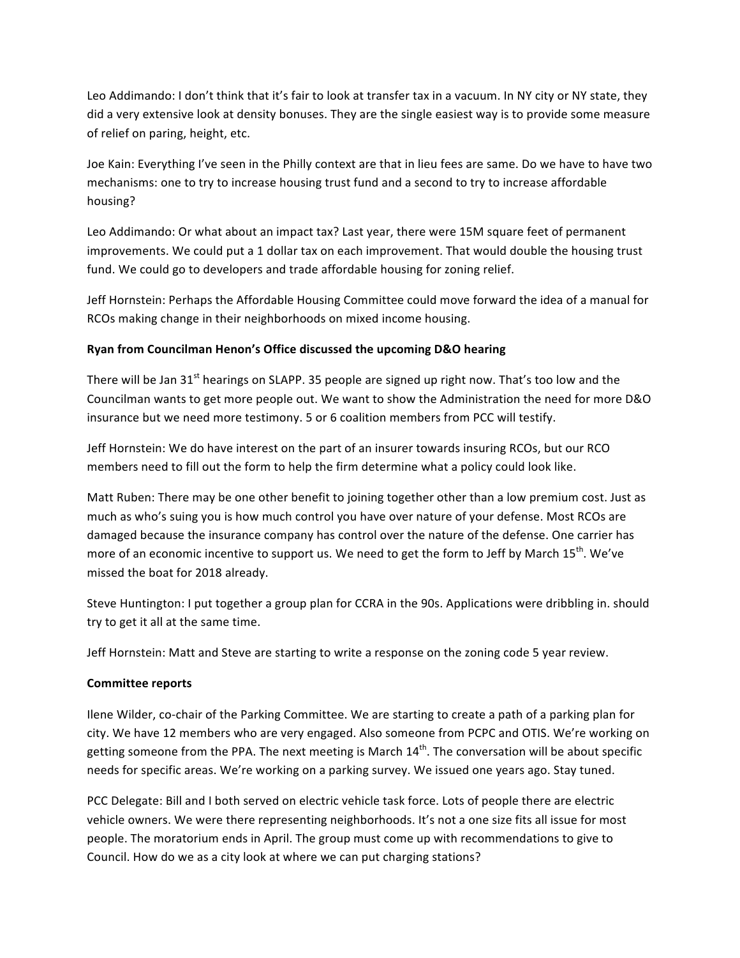Leo Addimando: I don't think that it's fair to look at transfer tax in a vacuum. In NY city or NY state, they did a very extensive look at density bonuses. They are the single easiest way is to provide some measure of relief on paring, height, etc.

Joe Kain: Everything I've seen in the Philly context are that in lieu fees are same. Do we have to have two mechanisms: one to try to increase housing trust fund and a second to try to increase affordable housing?

Leo Addimando: Or what about an impact tax? Last year, there were 15M square feet of permanent improvements. We could put a 1 dollar tax on each improvement. That would double the housing trust fund. We could go to developers and trade affordable housing for zoning relief.

Jeff Hornstein: Perhaps the Affordable Housing Committee could move forward the idea of a manual for RCOs making change in their neighborhoods on mixed income housing.

# **Ryan from Councilman Henon's Office discussed the upcoming D&O hearing**

There will be Jan  $31^{st}$  hearings on SLAPP. 35 people are signed up right now. That's too low and the Councilman wants to get more people out. We want to show the Administration the need for more D&O insurance but we need more testimony. 5 or 6 coalition members from PCC will testify.

Jeff Hornstein: We do have interest on the part of an insurer towards insuring RCOs, but our RCO members need to fill out the form to help the firm determine what a policy could look like.

Matt Ruben: There may be one other benefit to joining together other than a low premium cost. Just as much as who's suing you is how much control you have over nature of your defense. Most RCOs are damaged because the insurance company has control over the nature of the defense. One carrier has more of an economic incentive to support us. We need to get the form to Jeff by March 15<sup>th</sup>. We've missed the boat for 2018 already.

Steve Huntington: I put together a group plan for CCRA in the 90s. Applications were dribbling in. should try to get it all at the same time.

Jeff Hornstein: Matt and Steve are starting to write a response on the zoning code 5 year review.

### **Committee reports**

Ilene Wilder, co-chair of the Parking Committee. We are starting to create a path of a parking plan for city. We have 12 members who are very engaged. Also someone from PCPC and OTIS. We're working on getting someone from the PPA. The next meeting is March  $14<sup>th</sup>$ . The conversation will be about specific needs for specific areas. We're working on a parking survey. We issued one years ago. Stay tuned.

PCC Delegate: Bill and I both served on electric vehicle task force. Lots of people there are electric vehicle owners. We were there representing neighborhoods. It's not a one size fits all issue for most people. The moratorium ends in April. The group must come up with recommendations to give to Council. How do we as a city look at where we can put charging stations?